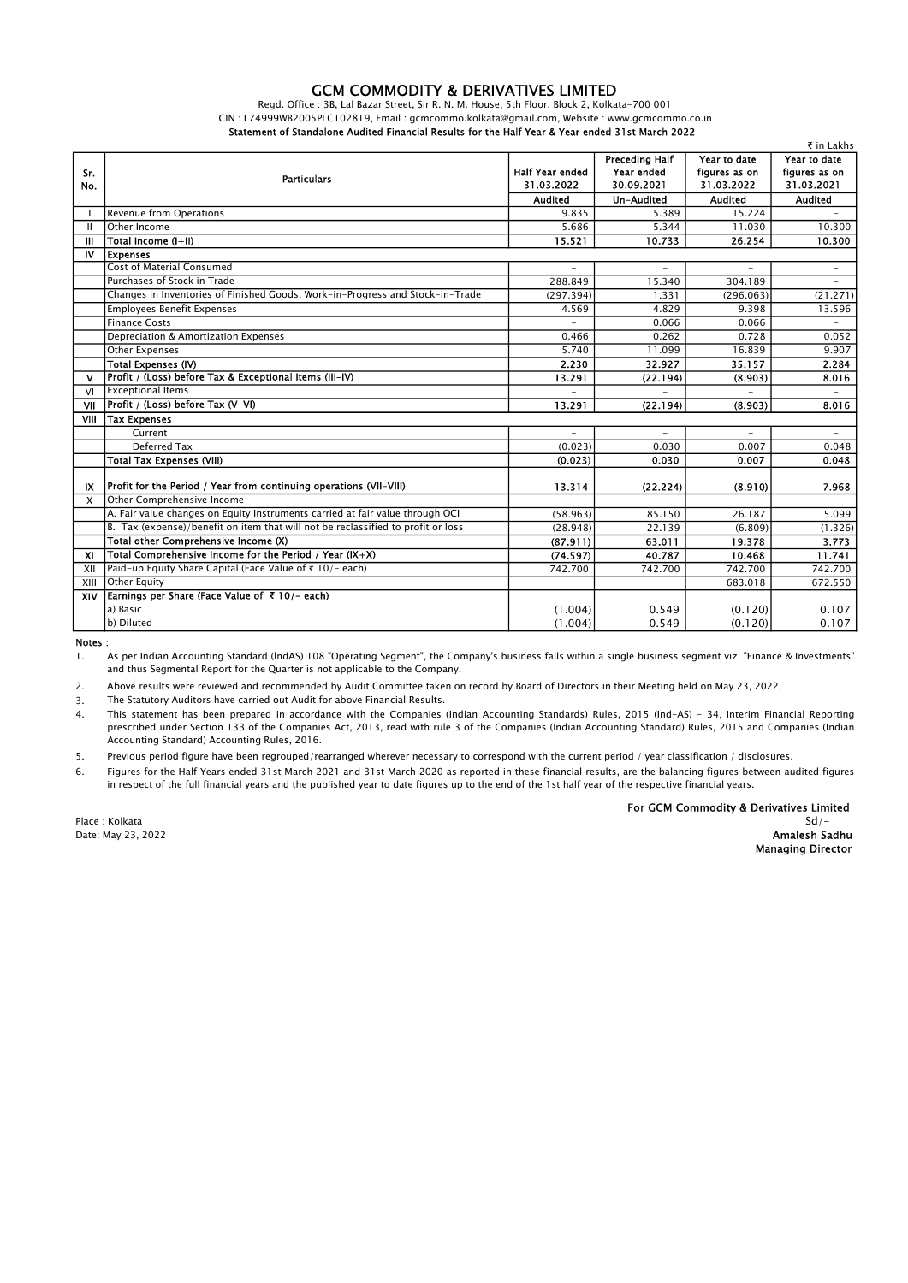## GCM COMMODITY & DERIVATIVES LIMITED

Regd. Office : 3B, Lal Bazar Street, Sir R. N. M. House, 5th Floor, Block 2, Kolkata-700 001 CIN : L74999WB2005PLC102819, Email : gcmcommo.kolkata@gmail.com, Website : www.gcmcommo.co.in Statement of Standalone Audited Financial Results for the Half Year & Year ended 31st March 2022

|                           |                                                                                  |                                      |                          |                             | ₹ in Lakhs                  |
|---------------------------|----------------------------------------------------------------------------------|--------------------------------------|--------------------------|-----------------------------|-----------------------------|
|                           |                                                                                  |                                      | <b>Preceding Half</b>    | Year to date                | Year to date                |
| Sr.                       | <b>Particulars</b>                                                               | <b>Half Year ended</b><br>31.03.2022 | Year ended<br>30.09.2021 | figures as on<br>31.03.2022 | figures as on<br>31.03.2021 |
| No.                       |                                                                                  |                                      |                          |                             |                             |
|                           |                                                                                  | <b>Audited</b>                       | Un-Audited               | <b>Audited</b>              | <b>Audited</b>              |
|                           | <b>Revenue from Operations</b>                                                   | 9.835                                | 5.389                    | 15.224                      |                             |
| Ш                         | Other Income                                                                     | 5.686                                | 5.344                    | 11.030                      | 10.300                      |
| Ш                         | Total Income (I+II)                                                              | 15.521                               | 10.733                   | 26.254                      | 10.300                      |
| IV                        | <b>Expenses</b>                                                                  |                                      |                          |                             |                             |
|                           | <b>Cost of Material Consumed</b>                                                 |                                      |                          |                             | $\overline{a}$              |
|                           | Purchases of Stock in Trade                                                      | 288.849                              | 15.340                   | 304.189                     |                             |
|                           | Changes in Inventories of Finished Goods, Work-in-Progress and Stock-in-Trade    | (297.394)                            | 1.331                    | (296.063)                   | (21.271)                    |
|                           | <b>Employees Benefit Expenses</b>                                                | 4.569                                | 4.829                    | 9.398                       | 13.596                      |
|                           | <b>Finance Costs</b>                                                             |                                      | 0.066                    | 0.066                       | $\overline{\phantom{a}}$    |
|                           | Depreciation & Amortization Expenses                                             | 0.466                                | 0.262                    | 0.728                       | 0.052                       |
|                           | <b>Other Expenses</b>                                                            | 5.740                                | 11.099                   | 16.839                      | 9.907                       |
|                           | Total Expenses (IV)                                                              | 2.230                                | 32.927                   | 35.157                      | 2.284                       |
| v                         | Profit / (Loss) before Tax & Exceptional Items (III-IV)                          | 13.291                               | (22.194)                 | (8.903)                     | 8.016                       |
| VI                        | <b>Exceptional Items</b>                                                         |                                      |                          |                             | ÷                           |
| VII                       | Profit / (Loss) before Tax (V-VI)                                                | 13.291                               | (22.194)                 | (8.903)                     | 8.016                       |
| VIII                      | Tax Expenses                                                                     |                                      |                          |                             |                             |
|                           | Current                                                                          |                                      |                          |                             |                             |
|                           | Deferred Tax                                                                     | (0.023)                              | 0.030                    | 0.007                       | 0.048                       |
|                           | <b>Total Tax Expenses (VIII)</b>                                                 | (0.023)                              | 0.030                    | 0.007                       | 0.048                       |
|                           |                                                                                  |                                      |                          |                             |                             |
| IX                        | Profit for the Period / Year from continuing operations (VII-VIII)               | 13.314                               | (22.224)                 | (8.910)                     | 7.968                       |
| $\mathsf{x}$              | Other Comprehensive Income                                                       |                                      |                          |                             |                             |
|                           | A. Fair value changes on Equity Instruments carried at fair value through OCI    | (58.963)                             | 85.150                   | 26.187                      | 5.099                       |
|                           | B. Tax (expense)/benefit on item that will not be reclassified to profit or loss | (28.948)                             | 22.139                   | (6.809)                     | (1.326)                     |
|                           | Total other Comprehensive Income (X)                                             | (87.911)                             | 63.011                   | 19.378                      | 3.773                       |
| $\boldsymbol{\mathsf{x}}$ | Total Comprehensive Income for the Period / Year $(X+X)$                         | (74.597)                             | 40.787                   | 10.468                      | 11.741                      |
| XII                       | Paid-up Equity Share Capital (Face Value of ₹ 10/- each)                         | 742.700                              | 742.700                  | 742.700                     | 742.700                     |
| XIII                      | <b>Other Equity</b>                                                              |                                      |                          | 683.018                     | 672.550                     |
| XIV                       | Earnings per Share (Face Value of ₹ 10/- each)                                   |                                      |                          |                             |                             |
|                           | a) Basic                                                                         | (1.004)                              | 0.549                    | (0.120)                     | 0.107                       |
|                           | b) Diluted                                                                       | (1.004)                              | 0.549                    | (0.120)                     | 0.107                       |

Notes :

1. As per Indian Accounting Standard (lndAS) 108 "Operating Segment", the Company's business falls within a single business segment viz. "Finance & Investments" and thus Segmental Report for the Quarter is not applicable to the Company.

2. Above results were reviewed and recommended by Audit Committee taken on record by Board of Directors in their Meeting held on May 23, 2022.

3. The Statutory Auditors have carried out Audit for above Financial Results.

4. This statement has been prepared in accordance with the Companies (Indian Accounting Standards) Rules, 2015 (Ind-AS) - 34, Interim Financial Reporting prescribed under Section 133 of the Companies Act, 2013, read with rule 3 of the Companies (Indian Accounting Standard) Rules, 2015 and Companies (Indian Accounting Standard) Accounting Rules, 2016.

5. Previous period figure have been regrouped/rearranged wherever necessary to correspond with the current period / year classification / disclosures.

6. Figures for the Half Years ended 31st March 2021 and 31st March 2020 as reported in these financial results, are the balancing figures between audited figures in respect of the full financial years and the published year to date figures up to the end of the 1st half year of the respective financial years.

For GCM Commodity & Derivatives Limited<br>Sd/-

Place : Kolkata Sd/- Date: May 23, 2022 **Amalesh Sadhu** and the second term of the second term of the second term of the second term of the second term of the second term of the second term of the second term of the second term of the second t

Managing Director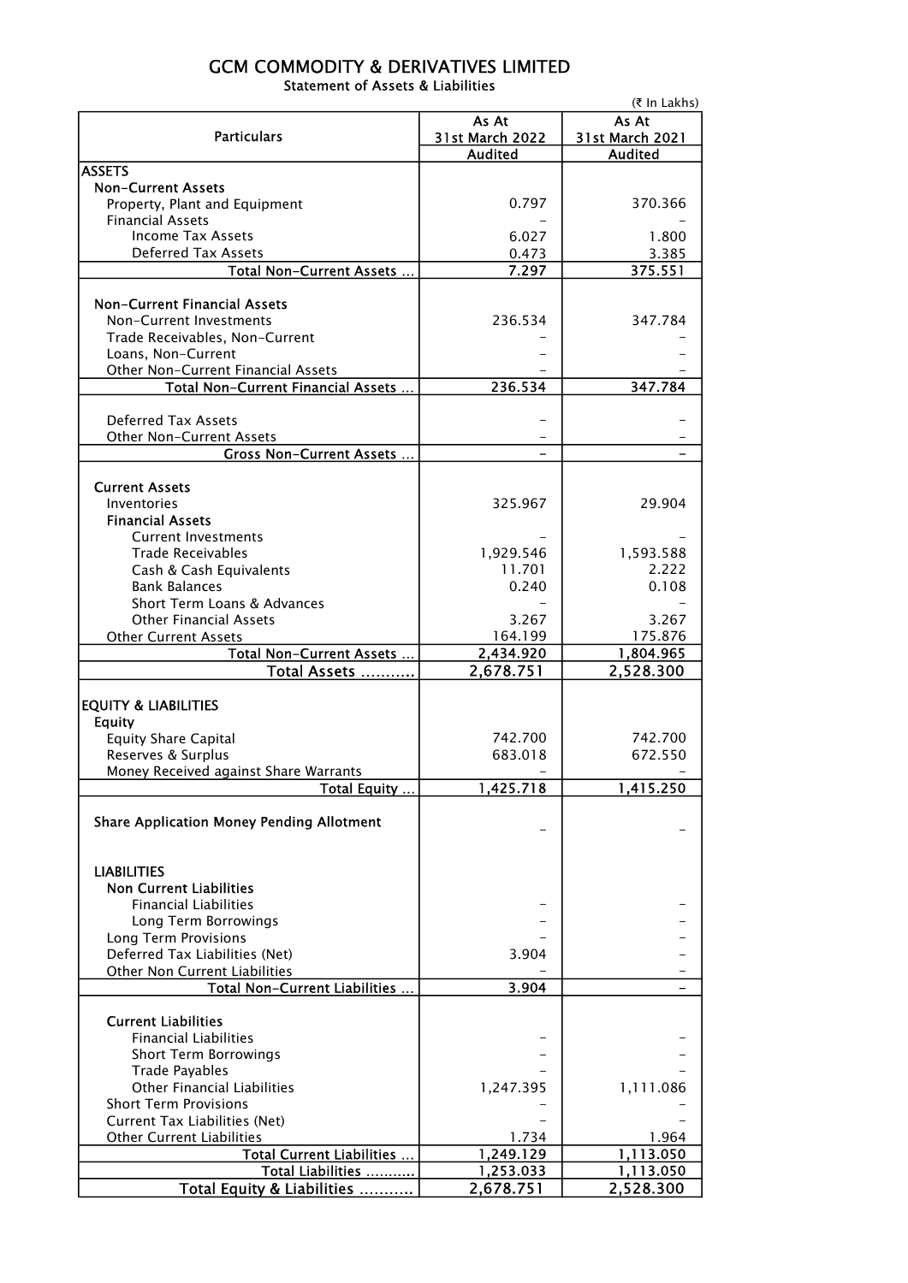## GCM COMMODITY & DERIVATIVES LIMITED Statement of Assets & Liabilities

|                                                                    | (₹ In Lakhs)           |                 |  |  |  |
|--------------------------------------------------------------------|------------------------|-----------------|--|--|--|
|                                                                    | As At                  |                 |  |  |  |
| <b>Particulars</b>                                                 | <b>31st March 2022</b> | 31st March 2021 |  |  |  |
| <b>ASSETS</b>                                                      | <b>Audited</b>         | <b>Audited</b>  |  |  |  |
| <b>Non-Current Assets</b>                                          |                        |                 |  |  |  |
| Property, Plant and Equipment                                      | 0.797                  | 370.366         |  |  |  |
| <b>Financial Assets</b>                                            |                        |                 |  |  |  |
| <b>Income Tax Assets</b>                                           | 6.027                  | 1.800           |  |  |  |
| <b>Deferred Tax Assets</b>                                         | 0.473                  | 3.385           |  |  |  |
| Total Non-Current Assets                                           | 7.297                  | 375.551         |  |  |  |
|                                                                    |                        |                 |  |  |  |
| <b>Non-Current Financial Assets</b>                                |                        |                 |  |  |  |
| Non-Current Investments                                            | 236.534                | 347.784         |  |  |  |
| Trade Receivables, Non-Current                                     |                        |                 |  |  |  |
| Loans, Non-Current                                                 |                        |                 |  |  |  |
| Other Non-Current Financial Assets                                 |                        |                 |  |  |  |
| Total Non-Current Financial Assets                                 | 236.534                | 347.784         |  |  |  |
|                                                                    |                        |                 |  |  |  |
| <b>Deferred Tax Assets</b>                                         |                        |                 |  |  |  |
| Other Non-Current Assets                                           |                        |                 |  |  |  |
| <b>Gross Non-Current Assets </b>                                   |                        |                 |  |  |  |
|                                                                    |                        |                 |  |  |  |
| <b>Current Assets</b>                                              |                        |                 |  |  |  |
| Inventories                                                        | 325.967                | 29.904          |  |  |  |
| <b>Financial Assets</b>                                            |                        |                 |  |  |  |
| <b>Current Investments</b>                                         |                        |                 |  |  |  |
| <b>Trade Receivables</b>                                           | 1,929.546              | 1,593.588       |  |  |  |
| Cash & Cash Equivalents                                            | 11.701                 | 2.222           |  |  |  |
| <b>Bank Balances</b>                                               | 0.240                  | 0.108           |  |  |  |
| Short Term Loans & Advances                                        |                        |                 |  |  |  |
| <b>Other Financial Assets</b>                                      | 3.267                  | 3.267           |  |  |  |
| <b>Other Current Assets</b>                                        | 164.199                | 175.876         |  |  |  |
| Total Non-Current Assets                                           | 2,434.920              | 1,804.965       |  |  |  |
| Total Assets                                                       | 2,678.751              | 2,528.300       |  |  |  |
| <b>EQUITY &amp; LIABILITIES</b>                                    |                        |                 |  |  |  |
| <b>Equity</b>                                                      |                        |                 |  |  |  |
| <b>Equity Share Capital</b>                                        | 742.700                | 742.700         |  |  |  |
| Reserves & Surplus                                                 | 683.018                | 672.550         |  |  |  |
| Money Received against Share Warrants                              |                        |                 |  |  |  |
| Total Equity                                                       | 1,425.718              | 1,415.250       |  |  |  |
|                                                                    |                        |                 |  |  |  |
| <b>Share Application Money Pending Allotment</b>                   |                        |                 |  |  |  |
|                                                                    |                        |                 |  |  |  |
|                                                                    |                        |                 |  |  |  |
| <b>LIABILITIES</b>                                                 |                        |                 |  |  |  |
| <b>Non Current Liabilities</b>                                     |                        |                 |  |  |  |
| <b>Financial Liabilities</b>                                       |                        |                 |  |  |  |
| Long Term Borrowings                                               |                        |                 |  |  |  |
| Long Term Provisions                                               |                        |                 |  |  |  |
| Deferred Tax Liabilities (Net)                                     | 3.904                  |                 |  |  |  |
| Other Non Current Liabilities                                      |                        |                 |  |  |  |
| Total Non-Current Liabilities                                      | 3.904                  |                 |  |  |  |
|                                                                    |                        |                 |  |  |  |
| <b>Current Liabilities</b>                                         |                        |                 |  |  |  |
| <b>Financial Liabilities</b>                                       |                        |                 |  |  |  |
| <b>Short Term Borrowings</b>                                       |                        |                 |  |  |  |
| <b>Trade Payables</b>                                              |                        |                 |  |  |  |
| <b>Other Financial Liabilities</b><br><b>Short Term Provisions</b> | 1,247.395              | 1,111.086       |  |  |  |
| Current Tax Liabilities (Net)                                      |                        |                 |  |  |  |
| <b>Other Current Liabilities</b>                                   | 1.734                  | 1.964           |  |  |  |
| Total Current Liabilities                                          | 1,249.129              | 1,113.050       |  |  |  |
| Total Liabilities                                                  | 1,253.033              | 1,113.050       |  |  |  |
| Total Equity & Liabilities                                         | 2,678.751              | 2,528.300       |  |  |  |
|                                                                    |                        |                 |  |  |  |